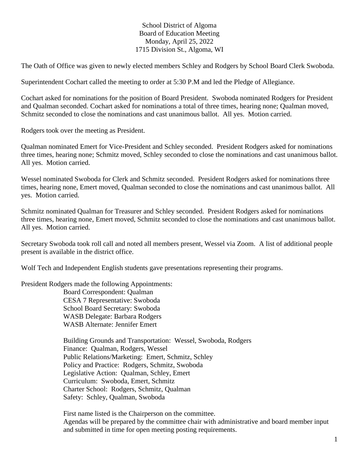## School District of Algoma Board of Education Meeting Monday, April 25, 2022 1715 Division St., Algoma, WI

The Oath of Office was given to newly elected members Schley and Rodgers by School Board Clerk Swoboda.

Superintendent Cochart called the meeting to order at 5:30 P.M and led the Pledge of Allegiance.

Cochart asked for nominations for the position of Board President. Swoboda nominated Rodgers for President and Qualman seconded. Cochart asked for nominations a total of three times, hearing none; Qualman moved, Schmitz seconded to close the nominations and cast unanimous ballot. All yes. Motion carried.

Rodgers took over the meeting as President.

Qualman nominated Emert for Vice-President and Schley seconded. President Rodgers asked for nominations three times, hearing none; Schmitz moved, Schley seconded to close the nominations and cast unanimous ballot. All yes. Motion carried.

Wessel nominated Swoboda for Clerk and Schmitz seconded. President Rodgers asked for nominations three times, hearing none, Emert moved, Qualman seconded to close the nominations and cast unanimous ballot. All yes. Motion carried.

Schmitz nominated Qualman for Treasurer and Schley seconded. President Rodgers asked for nominations three times, hearing none, Emert moved, Schmitz seconded to close the nominations and cast unanimous ballot. All yes. Motion carried.

Secretary Swoboda took roll call and noted all members present, Wessel via Zoom. A list of additional people present is available in the district office.

Wolf Tech and Independent English students gave presentations representing their programs.

President Rodgers made the following Appointments:

Board Correspondent: Qualman CESA 7 Representative: Swoboda School Board Secretary: Swoboda WASB Delegate: Barbara Rodgers WASB Alternate: Jennifer Emert

Building Grounds and Transportation: Wessel, Swoboda, Rodgers Finance: Qualman, Rodgers, Wessel Public Relations/Marketing: Emert, Schmitz, Schley Policy and Practice: Rodgers, Schmitz, Swoboda Legislative Action: Qualman, Schley, Emert Curriculum: Swoboda, Emert, Schmitz Charter School: Rodgers, Schmitz, Qualman Safety: Schley, Qualman, Swoboda

First name listed is the Chairperson on the committee. Agendas will be prepared by the committee chair with administrative and board member input and submitted in time for open meeting posting requirements.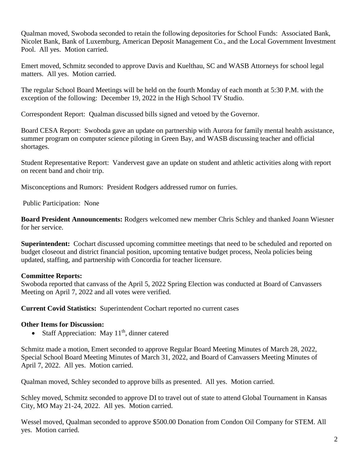Qualman moved, Swoboda seconded to retain the following depositories for School Funds: Associated Bank, Nicolet Bank, Bank of Luxemburg, American Deposit Management Co., and the Local Government Investment Pool. All yes. Motion carried.

Emert moved, Schmitz seconded to approve Davis and Kuelthau, SC and WASB Attorneys for school legal matters. All yes. Motion carried.

The regular School Board Meetings will be held on the fourth Monday of each month at 5:30 P.M. with the exception of the following: December 19, 2022 in the High School TV Studio.

Correspondent Report: Qualman discussed bills signed and vetoed by the Governor.

Board CESA Report: Swoboda gave an update on partnership with Aurora for family mental health assistance, summer program on computer science piloting in Green Bay, and WASB discussing teacher and official shortages.

Student Representative Report: Vandervest gave an update on student and athletic activities along with report on recent band and choir trip.

Misconceptions and Rumors: President Rodgers addressed rumor on furries.

Public Participation: None

**Board President Announcements:** Rodgers welcomed new member Chris Schley and thanked Joann Wiesner for her service.

**Superintendent:** Cochart discussed upcoming committee meetings that need to be scheduled and reported on budget closeout and district financial position, upcoming tentative budget process, Neola policies being updated, staffing, and partnership with Concordia for teacher licensure.

## **Committee Reports:**

Swoboda reported that canvass of the April 5, 2022 Spring Election was conducted at Board of Canvassers Meeting on April 7, 2022 and all votes were verified.

**Current Covid Statistics:** Superintendent Cochart reported no current cases

## **Other Items for Discussion:**

• Staff Appreciation: May  $11<sup>th</sup>$ , dinner catered

Schmitz made a motion, Emert seconded to approve Regular Board Meeting Minutes of March 28, 2022, Special School Board Meeting Minutes of March 31, 2022, and Board of Canvassers Meeting Minutes of April 7, 2022. All yes. Motion carried.

Qualman moved, Schley seconded to approve bills as presented. All yes. Motion carried.

Schley moved, Schmitz seconded to approve DI to travel out of state to attend Global Tournament in Kansas City, MO May 21-24, 2022. All yes. Motion carried.

Wessel moved, Qualman seconded to approve \$500.00 Donation from Condon Oil Company for STEM. All yes. Motion carried.